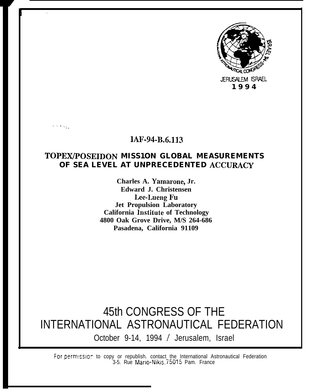

# **IAF-94-B.6.113**

. . . . :.

# **TOPEX/POSEIDON MISS1ON GLOBAL MEASUREMENTS OF SEA LEVEL AT UNPRECEDENTED ACCURACY**

**Charles A. Yamarone, Jr. Edward J. Christensen** Lee-Lueng Fu **Jet Propulsion Laboratory California Institute of Technology 4800 Oak Grove Drive, M/S 264-686 Pasadena, California 91109**

45th CONGRESS OF THE INTERNATIONAL ASTRONAUTICAL FEDERATION October 9-14, 1994 / Jerusalem, Israel

For.perm!ssior to copy or republish. contact the International Astronautical Federation 3-5. Rue Mario-Nikis. 75015 Pam. France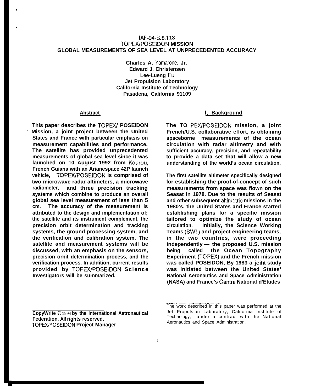# **IAF-94-B.6.I 13 TOPEWPOSEIDON MISSION GLOBAL MEASUREMENTS OF SEA LEVEL AT UNPRECEDENTED ACCURACY**

**Charles A.** Yamarone, **Jr. Edward J. Christensen Lee-Lueng Fu Jet Propulsion Laboratory California Institute of Technology Pasadena, California 91109**

#### **Abstract**

●

**This paper describes the TOPEX/ POSEIDON ' Mission, a joint project between the United States and France with particular emphasis on measurement capabilities and performance. The satellite has provided unprecedented measurements of global sea level since it was launched on 10 August 1992 from Kourou, French Guiana with an Arianespace 42P launch vehicle, TOPEX/POSEIDON is comprised of two microwave radar altimeters, a microwave radiometer, and three precision tracking systems which combine to produce an overall global sea level measurement of less than 5 cm. The accuracy of the measurement is attributed to the design and implementation of; the satellite and its instrument complement, the precision orbit determination and tracking systems, the ground processing system, and the verification and calibration system. The satellite and measurement systems will be discussed, with an emphasis on the sensors, precision orbit determination process, and the verification process. In addition, current results provided by TOPEX/POSEIDON Science Investigators will be summarized.**

# **1, Background**

**The TO PEX/POSEIDON mission, a joint French/U.S. collaborative effort, is obtaining spaceborne measurements of the ocean circulation with radar altimetry and with sufficient accuracy, precision, and repeatability to provide a data set that will allow a new understanding of the world's ocean circulation,**

**The first satellite altimeter specifically designed for establishing the proof-of-concept of such measurements from space was flown on the Seasat in 1978. Due to the results of Seasat and other subsequent altimetric missions in the 1980's, the United States and France started establishing plans for a specific mission tailored to optimize the study of ocean circulation. Initially, the Science Working Teams (SWT) and project engineering teams, in the two countries, were proceeding independently — the proposed U.S. mission being called the Ocean Topography Experiment (TOPEX) and the French mission was called POSEIDON, By 1983 a joiht study was initiated between the United States' National Aeronautics and Space Administration (NASA) and France's Centre National d'Etudes**

**CopyWrite @** 1994 **by the International Astronautical Federation. All rights reserved. TOPEX/POSEIDON Project Manager**

<sup>-.—</sup> . ..— .—.. \_ The work described in this paper was performed at the Jet Propulsion Laboratory, California Institute of Technology, under a contract with the National Aeronautics and Space Administration.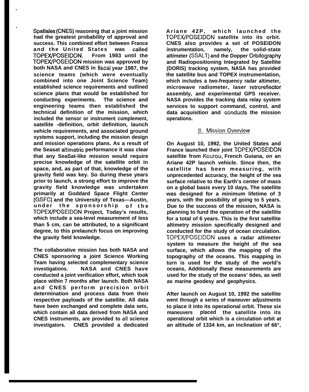**Spatiales (CNES) reasoning that a joint mission had the greatest probability of approval and success. This combined effort between France and the United States was called TOPEWPOSEIDON. From 1983 until the TOPEX/POSEIDON mission was approved by both NASA and CNES in fiscal year 1987, the science teams (which were eventually combined into one Joint Science Team) established science requirements and outlined science plans that would be established for conducting experiments. The science and engineering teams then established the technical definition of the mission, which included the sensor or instrument complement, satellite -definition, orbit definition, launch vehicle requirements, and associated ground systems support, including the mission design and mission operations plans. As a result of the Seasat aitimetric performance it was clear that any SeaSat-like mission would require precise knowledge of the satellite orbit in space, and, as part of that, knowledge of the gravity field was key. So during these years prior to launch, a strong effort to improve the gravity field knowledge was undertaken primarily at Goddard Space Flight Center (GSFC) and the University of Texas---Austin, under** the sponsorship of the **TOPEX.FOSEIDON Project, Today's results, which include a sea-level measurement of less than 5 cm, can be attributed, to a significant degree, to this prelaunch focus on improving the gravity field knowledge.**

.

b

**The collaborative mission has both NASA and CNES sponsoring a joint Science Working Team having selected complementary science investigations. NASA and CNES have conducted a joint verification effort, which took place within 7 months after launch. Both NASA and CNES perform precision orbit determination and process data from their respective payloads of the satellite. All data have been exchanged and complete data sets, which contain all data derived from NASA and CNES instruments, are provided to all science investigators. CNES provided a dedicated**

**Ariane 42P, which launched the TOPEX/POSEIDON satellite into its orbit. CNES also provides a set of POSEIDON instrumentation, namely, the solid-state altimeter (SSALT) and the Dopper Orbitography and Radiopositioning Integrated by Satellite (DORIS) tracking system, NASA has provided the satellite bus and TOPEX instrumentation, which includes a two-frequency radar altimeter, microwave radiometer, laser retroreflector assembly, and experimental GPS receiver. NASA provides the tracking data relay system services to support command, control, and** data acquisition and conducts the mission **operations.**

# **11. Mission Overview**

**On August 10, 1992, the United States and France launched their joint TOPEX/POSEIDON satellite from Kourou, French Guiana, on an Ariane 42P launch vehicle. Since then, the satellite has been measuring, with unprecedented accuracy, the height of the sea surface relative to the Earth's center of mass on a global basis every 10 days, The satellite was designed for a minimum lifetime of 3 years, with the possibility of going to 5 years. Due to the success of the mission, NASA is planning to fund the operation of the satellite for a total of 6 years. This is the first satellite altimetry mission specifically designed and conducted for the study of ocean circulation. TOPEX/POSEIDON uses a radar altimeter system to measure the height of the sea surface, which allows the mapping of the topography of the oceans. This mapping in turn is used for the study of the world's oceans, Additionally these measurements are used for the study of the oceans' tides, as well as marine geodesy and geophysics.**

**After launch on August 10, 1992 the satellite went through a series of maneuver adjustments to place it into its operational orbit. These six maneuvers placed the satellite into its operational orbit which is a circulation orbit at an altitude of 1334 km, an inclination of 66°,**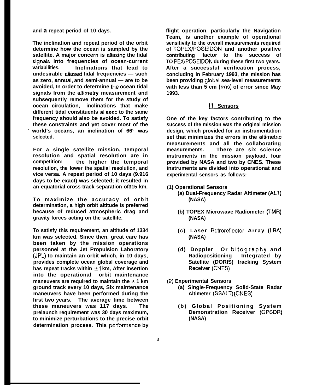**and a repeat period of 10 days.**

**The inclination and repeat period of the orbit determine how the ocean is sampled by the satellite. A major concern is aliasing the tidal** signals into frequencies of ocean-current **variabilities. Inclinations that lead to undesirable cdiased tidal frequencies — such as zero, annuaf, and semi-annual — are to be avoided, In order to determine the ocean tidal signals from the attimetry measurement and subsequently remove them for the study of ocean circulation, inclinations that make different tidal constituents aliased to the same frequency should also be avoided. To satisfy these constraints and yet cover most of the ~ world's oceans, an inclination of 66° was selected.**

**For a single satellite mission, temporal resolution and spatial resolution are in competition: the higher the temporal resolution, the lower the spatial resolution, and vice versa. A repeat period of 10 days (9.916 days to be exact) was selected; it resulted in an equatorial cross-track separation of315 km,**

**To maximize the accuracy of orbit determination, a high orbit altitude is preferred because of reduced atmospheric drag and gravity forces acting on the satellite.**

**To satisfy this requirement, an altitude of 1334 km was selected. Since then, great care has been taken by the mission operations personnel at the Jet Propulsion Laboratory (JPL) to maintain an orbit which, in 10 days, provides complete ocean global coverage and has repeat tracks within &1 km, After insertion into the operational orbit maintenance** maneuvers are required to maintain the  $\pm 1$  km **ground track every 10 days, Six maintenance maneuvers have been performed during the first two years. The average time between these maneuvers was 117 days. The prelaunch requirement was 30 days maximum, to minimize perturbations to the precise orbit determination process. This performance by** 

**flight operation, particularly the Navigation Team, is another example of operational sensitivity to the overall measurements required** of TOPEX/POSEIDON and another positive **contributing factor to the success of TO PEWPOSEIDON during these first two years. After a successful verification process, concluding in February 1993, the mission has been providing globat sea-level measurements with less than 5 cm (rms) of error since May 1993.**

# **~1. Sensors**

**One of the key factors contributing to the success of the mission was the original mission design, which provided for an instrumentation set that minimizes the errors in the altimetric measurements and all the collaborating measurements. There are six science instruments in the mission payload, four provided by NASA and two by CNES. These instruments are divided into operationat and experimental sensors as follows:**

- **(1) Operational Sensors**
	- **(a) Dual-Frequency Radar Altimeter (ALT) (NASA)**
		- **(b) TOPEX Microwave Radiometer (TMR) (NASA)**
		- **(c) Laser Retroreflector Array (LRA) (NASA)**
		- **(d) Doppler Or bitography and Radiopositioning Integrated by Satellite (DORIS) tracking System Receiver (CNES)**
- **(2) Experimental Sensors**
	- **(a) Single-Frequency Solid-State Radar Altimeter (SSALT) (CNES)**
	- **(b) Global Positioning System Demonstration Receiver (GPSDR) (NASA)**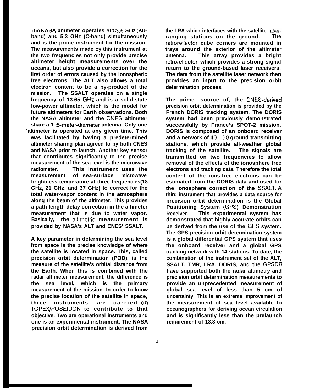**IREE NASA** ammeter operates at 13.6 GHz (KU**band) and 5.3 GHz (C-band) simultaneously and is the prime instrument for the mission. The measurements made by this instrument at the two frequencies not only provide precise altimeter height measurements over the oceans, but also provide a correction for the first order of errors caused by the ionospheric free electrons. The ALT also allows a total electron content to be a by-product of the mission. The SSALT operates on a single** frequency of 13.65 GHz and is a solid-state **low-power altimeter, which is the model for future altimeters for Earth observations. Both the NASA altimeter and the CNES altimeter share a 1 ;5-meter-diameter antenna. Only one - altimeter is operated at any given time. This was facilitated by having a predetermined altimeter sharing plan agreed to by both CNES and NASA prior to launch. Another key sensor that contributes significantly to the precise measurement of the sea level is the microwave radiometer. This instrument uses the measurement of sea-surface microwave brightness temperature at three frequencies(18 GHz, 21 GHz, and 37 GHz) to correct for the total water-vapor content in the atmosphere along the beam of the altimeter. This provides a path-length delay correction in the altimeter measurement that is due to water vapor. Basically, the altimetric measurement is provided by NASA's ALT and CNES' SSALT.**

**A key parameter in determining the sea level from space is the precise knowledge of where the satellite is located in space. This, called precision orbit determination (POD), is the measure of the satellite's orbital distance from the Earth. When this is combined with the radar altimeter measurement, the difference is the sea level, which is the primary measurement of the mission. In order to know the precise location of the satellite in space, three instruments are carried orI TOPEX/POSEIDON to contribute to that objective. Two are operational instruments and one is an experimental instrument. The NASA precision orbit determination is derived from**

**the LRA which interfaces with the satellite laserranging stations on the ground. The retroreflector cube corners are mounted in trays around the exterior of the altimeter antenna. This array provides a bright retroreflector, which provides a strong signal return to the ground-based laser receivers. The data from the satellite laser network then provides an input to the precision orbit determination process.**

**The prime source of, the CNES-derived precision orbit determination is provided by the French DORIS tracking system. The DORIS system had been previously demonstrated successfully by France's SPOT-2 mission. DORIS is composed of an onboard receiver and a network of 40–50 ground transmitting stations, which provide all-weather global tracking of the satellite. The signals are transmitted on two frequencies to allow removal of the effects of the ionosphere free electrons and tracking data. Therefore the total content of the ions-free electrons can be estimated from the DORIS data and used for the ionosphere correction of the SSALT, A third instrument that provides a data source for precision orbit determination is the Global Positioning System (GPS) Demonstration Receiver. This experimental system has demonstrated that highly accurate orbits can be derived from the use of the GPS system. The GPS precision orbit determination system is a global differential GPS system that uses the onboard receiver and a global GPS tracking network with 14 stations. To date, the combination of the instrument set of the ALT, SSALT, TMR, LRA, DORIS, and the GPSDR have supported both the radar altimetry and precision orbit determination measurements to provide an unprecedented measurement of global sea level of less than 5 cm of uncertainty, This is an extreme improvement of the measurement of sea level available to oceanographers for deriving ocean circulation and is significantly less than the prelaunch requirement of 13.3 cm.**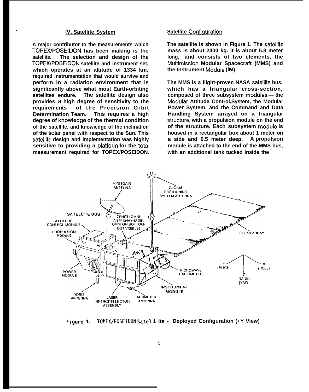# **IV, Satellite System**

+

**A major contributor to the measurements which TOPE3VPOSEIDON has been making is the satellite. The selection and design of the TOPEX/POSEIDON satellite and instrument set, which operates at an altitude of 1334 km, required instrumentation that would survive and perform in a radiation environment that is significantly above what most Earth-orbiting satellites endure. The satellite design also provides a high degree of sensitivity to the** of the Precision Orbit **Determination Team. This requires a high degree of knowiedge of the thermal condition of the satellite. and knowiedge of the inclination of the soiar panei with respect to the Sun. This sateilite design and implementation was highly sensitive to providing a piatiorm for the totai measurement required for TOPEX/POSEIDON.**

# **Satellite Configuration**

**The satellite is shown in Figure 1. The sateliite mass is about 2400 kg. it is about 5.8 meter long, and consists of two elements, the Multimission Modular Spacecraft (MMS) and the Instrument Moduie (lM),**

**The MMS is a flight-proven NASA sateilite bus, which has a triangular cross-section, composed of three subsystem moduies — the Moduiar Attitude Controi,System, the Modular Power System, and the Command and Data Handling System arrayed on a triangular struc{ure, with a propulsion module on the end of the structure. Each subsystem moduie is housed in a rectangular box about 1 meter on a side and 0.5 meter deep. A propulsion module is attached to the end of the MMS bus, with an additional tank tucked inside the**



**Figure 1. TOPEX/POSEIDON Satel 1 ite - Deployed Configuration (+Y View)**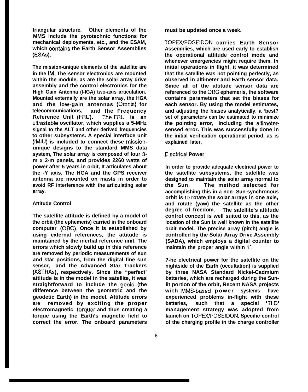**triangular structure. Other elements of the MMS include the pyrotechnic functions for mechanical deployments, etc., and the ESAM,** which contains the Earth Sensor Assemblies **(ESAS).**

**The mission-unique elements of the satellite are in the IM. The sensor electronics are mounted within the module, as are the solar array drive assembly and the control electronics for the High Gain Antenna (l-lGA) two-axis articulation. Mounted externally are the solar array, the HGA and the low-gain antennas (Omnis) for telecommunications, and the Frequency Reference Unit (FRU). Jhe FRU is an ultrastable oscillator, which supplies a 5-MHz signal to the ALT and other derived frequencies to other subsystems. A special interface unit (lMIU) is included to connect these missionunique designs to the standard MMS data system, The solar array is composed of four 3 m x 2-m panels, and provides 2260 watts of power after 5 years in orbit, It articulates about the -Y axis. The HGA and the GPS receiver antenna are mounted on masts in order to avoid RF interference with the articulating solar array.**

# **Attitude Control**

**The satellite attitude is defined by a model of the orbit (the ephemeris) carried in the onboard computer (OBC). Once it is established by using external references, the attitude is maintained by the inertial reference unit. The errors which slowly build up in this reference are removed by periodic measurements of sun and star positions, from the digital fine sun sensor, and the Advanced Star Trackers (ASTRAS), respectively. Since the "perfect' attitude is in the model in the satellite, it was straightforward to include the geoid (the difference between the geometric and the geodetic Earth) in the model. Attitude errors are removed by exciting the proper electromagnetic torquer and thus creating a torque using the Earth's magnetic field to correct the error. The onboard parameters**

**must be updated once a week.**

**TOPEX/POSEIDON carries Earth Sensor Assemblies, which are used early to establish the operational attitude control mode and whenever emergencies might require them. In initial operations in flight, it was determined that the satellite was not pointing perfectly, as observed in altimeter and Earth sensor data. Since all of the attitude sensor data are referenced to the OBC ephemeris, the software contains parameters that set the biases for each sensor. By using the model estimates, and adjusting the biases analytically, a 'best? set of parameters can be estimated to minimize the pointing error, including the altimetersensed error. This was successfully done in the initial verification operational period, as is explained later,**

# **Electrical Power**

**In order to provide adequate electrical power to the satellite subsystems, the satellite was designed to maintain the solar array normal to the Sun, The method selected for accomplishing this in a non- Sun-synchronous orbit is to rotate the solar arrays in one axis, and rotate (yaw) the satellite as the other degree of freedom. The satellite's attitude control concept is well suited to this, as the location of the Sun is well known in the satellite orbit model. The precise array (pitch) angle is controlled by the Solar Array Drive Assembly (SADA), which employs a digital counter to maintain the proper angle within 1',**

**?-he electrical power for the satellite on the nightside of the Earth (occultation) is supplied by three NASA Standard Nickel-Cadmium batteries, which are recharged during the Sunlit portion of the orbit, Recent NASA projects with MMS-based powe r systems have experienced problems in-flight with these batteries, such that a special 'TLCY management strategy was adopted from launch on TOPEX/POSEIDON. Specific control of the charging profile in the charge controller**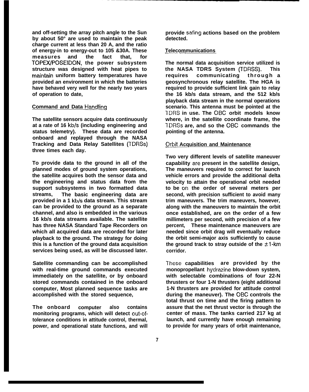**and off-setting the array pitch angle to the Sun by about 50° are used to maintain the peak charge current at less than 20 A, and the ratio of energy-in to energy-out to 105 &30A. These measures and the fact that, for TOPEWPOSEIDON, the power subsystem structure was designed with heat pipes to** maintain uniform battery temperatures have **provided an environment in which the batteries have behaved very well for the nearly two years of operation to date,**

## **Command and Data Handling**

**The satellite sensors acquire data continuously at a rate of 16 kb/s (including engineering and status telemetry). These data are recorded onboard and replayed through the NASA Tracking and Data Relay Satellites (TDRSS) three times each day.**

**To provide data to the ground in all of the planned modes of ground system operations, the satellite acquires both the sensor data and the engineering and status data from the support subsystems in two formatted data streams, The basic engineering data are provided in a 1 kb/s data stream. This stream can be provided to the ground as a separate channel, and also is embedded in the various 16 kb/s data streams available. The satellite has three NASA Standard Tape Recorders on which all acquired data are recorded for later playback to the ground. The strategy for doing this is a function of the ground data acquisition services being used, as will be discussed later.**

**Satellite commanding can be accomplished with real-time ground commands executed immediately on the satellite, or by onboard stored commands contained in the onboard computer, Most planned sequence tasks are accomplished with the stored sequence,**

**The onboard computer also contains monitoring programs, which will detect out-oftolerance conditions in attitude control, thermal, power, and operational state functions, and will** **provide safing actions based on the problem detected.**

#### $Telecommunications$

**The normal data acquisition service utilized is the NASA TDRS System (TDRSS). This requires communicating through a geosynchronous relay satellite. The HGA is required to provide sufficient link gain to relay the 16 kb/s data stream, and the 512 kb/s playback data stream in the normal operations scenario. This antenna must be pointed at the TDRS in use. The OBC orbit models know where, in the satellite coordinate frame, the TDRSS are, and so the OBC commands the pointing of the antenna.**

## **Qrbit Acquisition and Maintenance**

**Two very different levels of satellite maneuver capability are present in the satellite design, The maneuvers required to correct for launch vehicle errors and provide the additional delta velocity to attain the operational orbit needed to be on the order of several meters per second, with precision sufficient to avoid many trim maneuvers. The trim maneuvers, however, along with the maneuvers to maintain the orbit once established, are on the order of a few millimeters per second, with precision of a few percent, These maintenance maneuvers are needed since orbit drag will eventually reduce the orbit semi-major axis sufficiently to cause** the ground track to stray outside of the  $±1$ -km **corridor.**

**?'hese capabilities are provided by the monopropellant hydrazine blow-down system, with selectable combinations of four 22-N thrusters or four 1-N thrusters (eight additional 1-N thrusters are provided for attitude control during the maneuver). The OBC controls the total thrust on time and the firing pattern to assure that the net thrust vector is through the center of mass. The tanks carried 217 kg at launch, and currently have enough remaining to provide for many years of orbit maintenance,**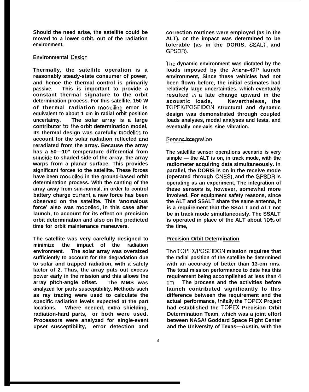**Should the need arise, the satellite could be moved to a lower orbit, out of the radiation environment,**

# **Environmental Design**

**Thermally, the satellite operation is a reasonably steady-state consumer of power, and hence the thermal control is primarily passive. This is important to provide a constant thermal signature to the orbit determination process. For this satellite, 150 W of thermal radiation modelling error is equivalent to about 1 cm in radial orbit position uncertainty. The solar array is a large contributor to the orbit determination model, Its thermal design was carefully modelled to account for the solar radiation reflected and reradiated from the array. Because the array has a 50—10" temperature differential from sunside to shaded side of the array, the array warps from a planar surface. This provides significant forces to the satellite. These forces have been modelled in the ground-based orbit determination process. With the canting of the array away from sun-normal, in order to control battery charge cunent, a new force has been observed on the satellite. This 'anomalous force' also was modelled, in this case after launch, to account for its effect on precision orbit determination and also on the predicted time for orbit maintenance maneuvers.**

**The satellite was very carefully designed to minimize the impact of the radiation environment. The solar array was oversized sufficiently to account for the degradation due to solar and trapped radiation, with a safety factor of 2. Thus, the array puts out excess power early in the mission and this allows the array pitch-angle offset. The MMS was analyzed for parts susceptibility. Methods such as ray tracing were used to calculate the specific radiation levels expected at the part locations. Where needed, extra shielding, radiation-hard parts, or both were used. Processors were analyzed for single-event upset susceptibility, error detection and**

**correction routines were employed (as in the ALT), or the impact was determined to be tolerable (as in the DORIS, SSALT, and GPSDR).**

The dynamic environment was dictated by the **loads imposed by the Ariane-42P launch environment, Since these vehicles had not been flown before, the initial estimates had relatively large uncertainties, which eventually resulted** in **a late change upward in the acoustic loads, Nevertheless, the TOPEX/POSEIDON structural and dynamic design was demonstrated through coupled loads analyses, modal analyses and tests, and eventually one-axis sine vibration.**

## $Sensor-Integration$

**The satellite sensor operations scenario is very simple — the ALT is on, in track mode, with the radiometer acquiring data simultaneously. in parallel, the DORIS is on in the receive mode (operated through CNES), and the GPSDR is operating as an experiment, The integration of these sensors is, however, somewhat more involved. For equipment safety reasons, since the ALT and SSALT share the same antenna, it is a requirement that the SSALT and ALT not be in track mode simultaneously. The SSALT is operated in place of the ALT about 10% of the time,**

#### **Precision Orbit Determination**

**The TOPEX/POSEIDON mission requires that the radial position of the satellite be determined with an accuracy of better than 13-cm rms. The total mission performance to date has this requirement being accomplished at less than 4 cm, The process and the activities before launch contributed significantly to this difference between the requirement and the actual performance, Initally the TOPEX Project had established the TOPEX Precision Orbit Determination Team, which was a joint effort between NASA/ Goddard Space Flight Center and the University of Texas—Austin, with the**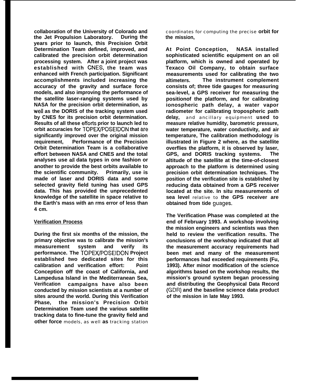**collaboration of the University of Colorado and the Jet Propulsion Laboratory. During the years prior to launch, this Precision Orbit Determination Team defined, improved, and calibrated the precision orbit determination processing system. After a joint project was established with CNES, the team was enhanced with French participation. Significant accomplishments included increasing the accuracy of the gravity and surface force models, and also improving the performance of the satellite laser-ranging systems used by NASA for the precision orbit determination, as well as the DORIS of the tracking system used by CNES for its precision orbit determination. Results of all these effods prior to launch led to orbit accuracies for TOPEX/POSEIDON that are significantly improved over the original mission requirement, Performance of the Precision Orbit Determination Team is a collaborative effort between NASA and CNES and the total analyses use all data types in one fashion or another to provide the best orbits available to the scientific community. Primarily, use is made of laser and DORIS data and some selected gravity field tuning has used GPS data. This has provided the unprecedented knowledge of the satellite in space relative to the Earth's mass with an rms error of less than 4 cm.**

# **Verification Process**

**During the first six months of the mission, the primary objective was to calibrate the mission's measurement system and verify its performance. The TOPEX/POSEIDON Project established two dedicated sites for this calibration and verification effort: Point Conception off the coast of California, and Lampedusa Island in the Mediterranean Sea, Verification campaigns have also been conducted by mission scientists at a number of sites around the world. During this Verification Phase, the mission's Precision Orbit Determination Team used the various satellite tracking data to fine-tune the gravity field and other force** models, as well **as** tracking station

coordinates for computing the precise **orbit for the mission,**

**At Point Conception, NASA installed sophisticated scientific equipment on an oil platform, which is owned and operated by Texaco Oil Company, to obtain surface measurements used for calibrating the two altimeters. The instrument complement consists of; three tide gauges for measuring sea-level, a GPS receiver for measuring the positionof the platform, and for calibrating ionospheric path delay, a water vapor radiometer for calibrating tropospheric path delay,** and ancillary equipment **used to measure relative humidity, barometric pressure, water temperature, water conductivity, and air temperature, The calibration methodology is illustrated in Figure 2 where, as the satellite overflies the platform, it is observed by laser, GPS, and DORIS tracking systems. The altitude of the satellite at the time-of-closest approach to the platform is determined using precision orbit determination techniques. The position of the verification site is established by reducing data obtained from a GPS receiver located at the site. In situ measurements of sea level** relative to **the GPS receiver are obtained from tide guages.**

**The Verification Phase was completed at the end of February 1993. A workshop involving the mission engineers and scientists was then held to review the verification results. The conclusions of the workshop indicated that all the measurement accuracy requirements had been met and many of the measurement performances had exceeded requirements (Fu, 1993). After minor modification of the science algorithms based on the workshop results, the mission's ground system began processing and distributing the Geophysical Data Record (GDR) and the baseline science data product of the mission in late May 1993.**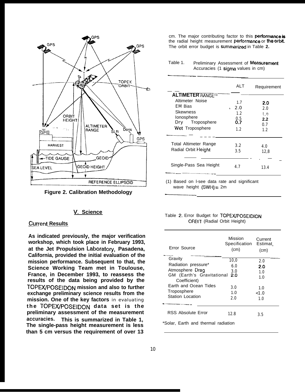

**Figure 2. Calibration Methodology**

## **V. Science**

# .Cunent **Results**

**As indicated previously, the major verification workshop, which took place in February 1993, at the Jet Propulsion Laboratoy, Pasadena, California, provided the initial evaluation of the mission performance. Subsequent to that, the Science Working Team met in Toulouse, France, in December 1993, to reassess the results of the data being provided by the TOPEX/POSEIDON mission and also to further exchange preliminary science results from the mission. One of the key factors** in evaluating the TOPEX/POSEIDON data set is the **preliminary assessment of the measurement accuracies. This is summarized in Table 1, The single-pass height measurement is less than 5 cm versus the requirement of over 13**

cm. The major contributing factor to this performance is the radial height measurement performance or the orbit. The orbit error budget is summarized in Table 2.

Table 1. Preliminary Assessment of Measurement Accuracies (1 sigma values in cm) Table 1. Preliminary Assessment of<br>Accuracies (1 sigma value

| <b>ALTIMETER RANGEM</b>                                                                                         | ALT                                              | Requirement                                         |
|-----------------------------------------------------------------------------------------------------------------|--------------------------------------------------|-----------------------------------------------------|
| Altimeter Noise<br><b>EM Bias</b><br>Skewness<br>lonosphere<br>Troposphere<br>Dry<br>Wet Troposphere            | 1.7<br>2.0<br>÷.<br>1.2<br>$0.5$<br>$0.7$<br>1.2 | 2.0<br>2.0<br>l.n<br>$2.2\phantom{0}$<br>0.7<br>1.2 |
| Total Altimeter Range<br>Radial Orbit Height                                                                    | 3.2<br>3.5                                       | 4.0<br>12,8                                         |
| Single-Pass Sea Height                                                                                          | 4.7                                              | 13.4                                                |
| the contract of the contract of the contract of the contract of the contract of the contract of the contract of |                                                  |                                                     |

(1) Based on I-see data rate and significant<br>wave height (SWH) = 2m wave height  $(SWH) = 2m$ 

|  |  |  | Table 2. Error Budget for TOPEX/POSEIDION |  |
|--|--|--|-------------------------------------------|--|
|  |  |  | <b>ORBIT (Radial Orbit Height)</b>        |  |

| Error Source                              | Mission<br>Specification<br>(cm) | Current<br>Estimat.<br>(cm) |
|-------------------------------------------|----------------------------------|-----------------------------|
| Gravity                                   | 10,0                             | 2.0                         |
| Radiation pressure*                       | 6.0                              | 2.0                         |
| Atmosphere Drag                           | 3.0                              | 1.0                         |
| GM (Earth's Gravitational<br>Coefficient) | 2.0                              | 1.0                         |
| Earth and Ocean Tides                     | 3.0                              | 1.0                         |
| Troposphere                               | 1.0                              | < 1.0                       |
| <b>Station Location</b>                   | 2.0                              | 1.0                         |
| RSS Absolute Error                        | 12.8                             | 3.5                         |
| *Solar, Earth and thermal radiation       |                                  |                             |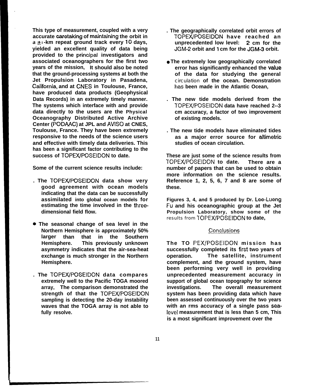**This type of measurement, coupled with a very accurate caretaking of mahtahing the orbit in a a I -km repeat ground track every 10 days, yielded an excellent quality of data being provided to the principzd investigators and associated oceanographers for the first two years of the mission, It should also be noted that the ground-processing systems at both the Jet Propulsion Laboratory in Pasadena, Cafifomia, and at CNES in Toulouse, France, have produced data products (Geophysical Data Records) in an extremely timely manner. The systems which interface with and provide data directly to the users are the Physical Oceanography Distributed Active Archive Center (PODAAC) at JPL and AVISO at CNES, Toulouse, France. They have been extremely responsive to the needs of the science users and effective with timely data deliveries. This has been a significant factor contributing to the success of TOPEWPOSEIDON to date.**

**Some of the current science results include:**

- **. The TOPEWPOSEIDON data show very good agreement with ocean models indicating that the data can be successfully assimilated into global ocean models for estimating the time involved in the threedimensional field flow.**
- **\* The seasonal change of sea level in the Northern Hemisphere is approximately 50% larger than that in the Southern Hemisphere. This previously unknown asymmetry indicates that the air-sea-heat exchange is much stronger in the Northern Hemisphere.**
- **. The TOPEX/POSEIDON data compares extremely well to the Pacific TOGA moored array, The comparison demonstrated the strength of that the TOPEXfPOSEIDON sampling is detecting the 20-day instability waves that the TOGA array is not able to fully resolve.**
- **. The geographically correlated orbit errors of TOPEX/POSEIDON have reached an unprecedented low level: 2 cm for the JGM-2 orbit and 1 cm for the JGM-3 orbit.**
- **The extremely low geographically correlated** error has significantly enhanced the value **of the data for studying the general** circulation **of the ocean. Demonstration has been made in the Atlantic Ocean,**
- **. The new tide models derived from the TOPEX/POSEIDON data have reached 2--3 cm accuracy, a factor of two improvement of existing models.**
- **. The new tide models have eliminated tides as a major error source for altimetric studies of ocean circulation.**

**These are just some of the science results from TOPEWPOSEIDON to date. There are a number of papers that can be used to obtain more information on the science results. Reference 1, 2, 5, 6, 7 and 8 are some of these.**

**Figures 3, 4, and 5 produced by Dr. Lee-Lueng Fu and his oceanographic group at the Jet Propulsion Laboratory, show some of the** results from **TOPEWPOSEIDON to date,**

#### Conclusions

**The TO PEX/POSEIDON mission has successfully completed its first two years of operation. The satellite, instrument complement, and the ground system, have been performing very well in providing unprecedented measurement accuracy in support of global ocean topography for science investigations. The overall measurement system has been providing data which have been assessed continuously over the two years with an rms accuracy of a single pass sea-Ievel measurement that is less than 5 cm, This is a most significant improvement over the**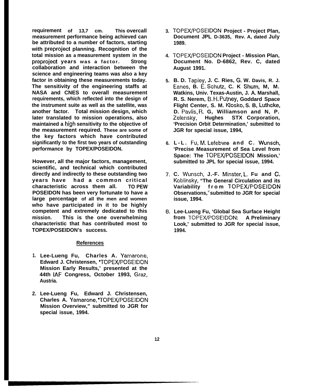**requirement of 13,7 cm. This overcall measurement performance being achieved can be attributed to a number of factors, starting with preproject planning. Recognition of the total mission as a measurement system in the preproject years was a factor. Strong collaboration and interaction between the science and engineering teams was also a key factor in obtaining these measurements today. The sensitivity of the engineering staffs at NASA and CNES to overall measurement requirements, which reflected into the design of the instrument suite as well as the satellite, was another factor. Total mission design, which later translated to mission operations, also maintained a high sensitivity to the objective of the measurement required. These are some of the key factors which have contributed significantly to the first two years of outstanding performance by TOPEX/POSEIDON.**

**However, all the major factors, management, scientific, and technical which contributed directly and indirectly to these outstanding two years have had a common critical characteristic across them all. TO PEW POSEIDON has been very fortunate to have a large percentage of all the men and women who have participated in it to be highly competent and extremely dedicated to this mission. This is the one overwhelming characteristic that has contributed most to TOPEX/POSEIDON's success.**

## **References**

- **1. Lee-Lueng Fu, Charles A. Yamarone, Edward J. Christensen, 'TOPEX/POSEIDON Mission Early Results,' presented at the 44th IAF Congress, October 1993, Graz, Austria.**
- **2. Lee-Lueng Fu, Edward J. Christensen, Charles A. Yamarone, 9TOPEX/POSEiDON Mission Overview," submitted to JGR for special issue, 1994.**
- **3. TOPEX/POSEIDON Project Project Plan, Document JPL D-3635, - Rev. A, dated July 1989.**
- **4. TOPEWPOSEIDON Project Mission Plan, Document No. D-6862, Rev. C, dated August 1991.**
- **5. B. D. Tapley, J. C. Ries, G, W. Davis, R. J. Eanes, B. E, Schutz, C. K Shum, M, M. Watkins, Univ. Texas-Austin, J. A. Marshall, R. S. Nerem, B, H, Putney, Goddard Space Flight Center, S. M. Klosko, S. B, Luthcke, D.** Pavlis, R. G, Williamson and N, P.<br>Zelensky. Hughes STX Corporation, **Zelensky, Hughes STX Corporation, 'Precision Orbit Determination,' submitted to JGR for special issue, 1994,**
- **6. L-L. Fu, M, Lefebvre and C. Wunsch, 'Precise Measurement of Sea Level from Space: The TOPEX/POSEIDON Mission,' submitted to JPL for special issue, 1994.**
- **7, C. Wunsch, J.-F. Minster, L, Fu and C, Koblinsky, "The General Circulation and its Variability from TOPEX/POSEIDON Observations,<sup>U</sup>submitted to JGR for special issue, 1994.**
- **8. Lee-Lueng Fu, 'Global Sea Surface Height from TOPEWPOSEIDON: A Preliminary Look,' submitted to JGR for special issue, 1994.**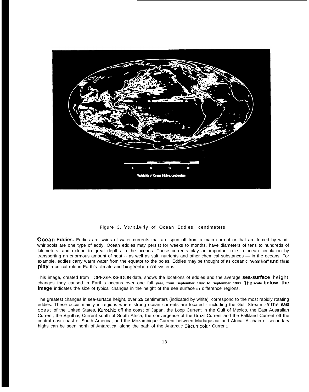

#### Figure 3. Variability of Ocean Eddies, centimeters

**Ocean Eddies.** Eddies are swirls of water currents that are spun off from a main current or that are forced by wind; whirlpools are one type of eddy. Ocean eddies may persist for weeks to months, have diameters of tens to hundreds of kilometers. and extend to great depths in the oceans. These currents play an important role in ocean circulation by transporting an enormous amount of heat -- as well as salt, nutrients and other chemical substances — in the oceans. For example, eddies carry warm water from the equator to the poles, Eddies may be thought of as oceanic "weather" and thus **play** a critical role in Earth's climate and biogeochemicai systems,

This image, created from TOPEX/F'OSEIDON data, shows the locations of eddies and the average **sea-surface** height changes they caused in Earth's oceans over one full **year, from September 1992 to September 1993. The scale below the image** indicates the size of typical changes in the height of the sea surface in difference regions.

The greatest changes in sea-surface height, over **25** centimeters (indicated by white), correspond to the most rapidly rotating eddies. These occur mainly in regions where strong ocean currents are located - including the Gulf Stream off the east coast of the United States, Kuroshio off the coast of Japan, the Loop Current in the Gulf of Mexico, the East Australian Current, the Agulhas Current south of South Africa, the convergence of the Ehazil Current and the Falkland Current off the central east coast of South America, and the Mozambique Current between Madagascar and Africa. A chain of secondary highs can be seen north of Antarctica, along the path of the Antarctic Circumpolar Current.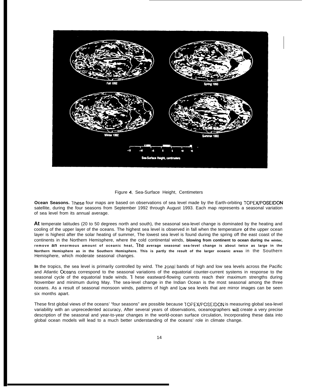

Figure 4. Sea-Surface Height, Centimeters

**Ocean Seasons. These** four maps are based on observations of sea level made by the Earth-orbiting TOPEX/POSEIDON satellite, during the four seasons from September 1992 through August 1993. Each map represents a seasonal variation of sea level from its annual average.

**At** temperate latitudes (20 to 50 degrees north and south), the seasonal sea-level change is dominated by the heating and cooling of the upper layer of the oceans. The highest sea level is observed in fall when the temperature of the upper ocean layer is highest after the solar heating of summer, The lowest sea level is found during the spring off the east coast of the continents in the Northern Hemisphere, where the cold continental winds, **blowing from continent to ocean during the winter, remove an enormous amount of oceanic heat, ~-he average seasonal sea-level change is about twice as large in the Northern Hemisphere as in the Southern Hemisphere. This is partly the result of the larger oceanic areas** in the Southern Hemisphere, which moderate seasonal changes.

**In** the tropics, the sea level is primarily controlled by wind. The zonal bands of high and low sea levels across the Pacific and Atlantic Oceans correspond to the seasonal variations of the equatorial counter-current systems in response to the seasonal cycle of the equatorial trade winds. These eastward-flowing currents reach their maximum strengths during November and minimum during May. The sea-level change in the Indian Ocean is the most seasonal among the three oceans. As a result of seasonal monsoon winds, patterns of high and low sea levels that are mirror images can be seen six months apart.

These first global views of the oceans' "four seasons" are possible because TOP EX/POSEIDON is measuring global sea-level variability with an unprecedented accuracy, After several years of observations, oceanographers will create a very precise description of the seasonal and year-to-year changes in the world-ocean surface circulation, Incorporating these data into global ocean models will lead to a much better understanding of the oceans' role in climate change.